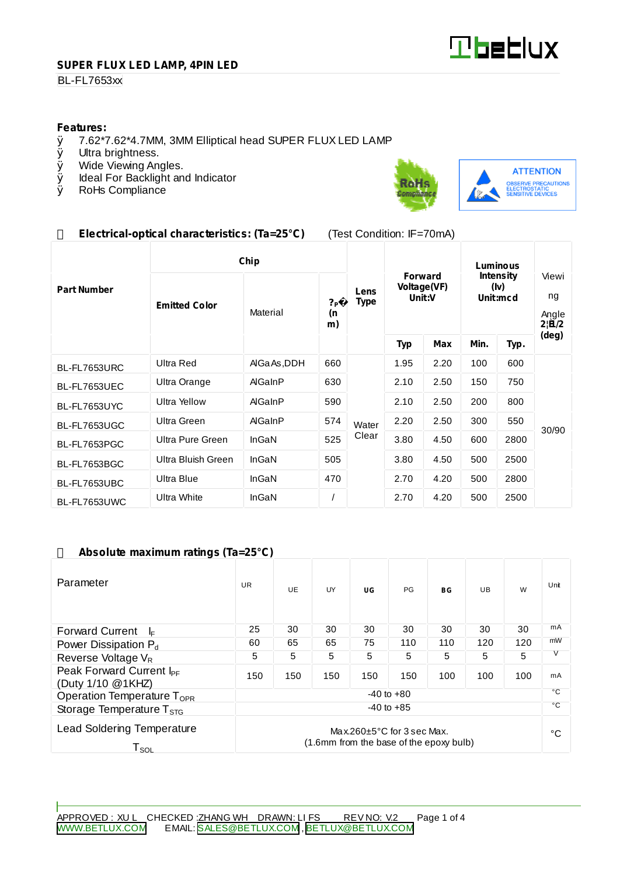

#### **SUPER FLUX LED LAMP, 4PIN LED**

#### **BL-FL7653xx**

# **Features:**<br>0 7.62\*7

- $\emptyset$  7.62\*7.62\*4.7MM, 3MM Elliptical head SUPER FLUX LED LAMP  $\emptyset$  Ultra brightness.
- Ø Ultra brightness.<br>Ø Wide Viewing An
- Wide Viewing Angles.
- Ø Ideal For Backlight and Indicator<br>Ø RoHs Compliance
- RoHs Compliance



**ATTENTION** OBSERVE PRECAUTIONS<br>ELECTROSTATIC<br>SENSITIVE DEVICES

## **Electrical-optical characteristics: (Ta=25°C)** (Test Condition: IF=70mA)

|                    | Chip                 |                |                            |                     | Luminous                                |      |                                      |      |                               |
|--------------------|----------------------|----------------|----------------------------|---------------------|-----------------------------------------|------|--------------------------------------|------|-------------------------------|
| <b>Part Number</b> | <b>Emitted Color</b> | Material       | ? <sub>P</sub><br>(n<br>m) | Lens<br><b>Type</b> | <b>Forward</b><br>Voltage(VF)<br>Unit:V |      | <b>Intensity</b><br>(Iv)<br>Unit:mcd |      | Viewi<br>ng<br>Angle<br>2 B/2 |
|                    |                      |                |                            |                     | <b>Typ</b>                              | Max  | Min.                                 | Typ. | (deg)                         |
| BL-FL7653URC       | Ultra Red            | AIGa As, DDH   | 660                        | Water               | 1.95                                    | 2.20 | 100                                  | 600  | 30/90                         |
| BL-FL7653UEC       | Ultra Orange         | AlGaInP        | 630                        |                     | 2.10                                    | 2.50 | 150                                  | 750  |                               |
| BL-FL7653UYC       | <b>Ultra Yellow</b>  | AlGaInP        | 590                        |                     | 2.10                                    | 2.50 | 200                                  | 800  |                               |
| BL-FL7653UGC       | Ultra Green          | <b>AlGaInP</b> | 574                        |                     | 2.20                                    | 2.50 | 300                                  | 550  |                               |
| BL-FL7653PGC       | Ultra Pure Green     | InGaN          | 525                        | Clear               | 3.80                                    | 4.50 | 600                                  | 2800 |                               |
| BL-FL7653BGC       | Ultra Bluish Green   | InGaN          | 505                        |                     | 3.80                                    | 4.50 | 500                                  | 2500 |                               |
| BL-FL7653UBC       | Ultra Blue           | InGaN          | 470                        |                     | 2.70                                    | 4.20 | 500                                  | 2800 |                               |
| BL-FL7653UWC       | Ultra White          | InGaN          |                            |                     | 2.70                                    | 4.20 | 500                                  | 2500 |                               |

### **Absolute maximum ratings (Ta=25°C)**

| Parameter                                                                                                                               | <b>UR</b>      | <b>UE</b> | UY  | UG  | PG           | BG  | UB  | W   | Unit |
|-----------------------------------------------------------------------------------------------------------------------------------------|----------------|-----------|-----|-----|--------------|-----|-----|-----|------|
| <b>Forward Current</b><br>ŀ⊧                                                                                                            | 25             | 30        | 30  | 30  | 30           | 30  | 30  | 30  | mA   |
| Power Dissipation $P_d$                                                                                                                 | 60             | 65        | 65  | 75  | 110          | 110 | 120 | 120 | mW   |
| Reverse Voltage $V_R$                                                                                                                   | 5              | 5         | 5   | 5   | 5            | 5   | 5   | 5   | V    |
| Peak Forward Current I <sub>PF</sub><br>(Duty 1/10 @1KHZ)                                                                               | 150            | 150       | 150 | 150 | 150          | 100 | 100 | 100 | mA   |
| Operation Temperature T <sub>OPR</sub>                                                                                                  | $-40$ to $+80$ |           |     |     |              |     |     |     | °С   |
| $-40$ to $+85$<br>Storage Temperature $T_{STG}$                                                                                         |                |           |     |     | $^{\circ}$ C |     |     |     |      |
| <b>Lead Soldering Temperature</b><br>Max.260 $\pm$ 5°C for 3 sec Max.<br>(1.6mm from the base of the epoxy bulb)<br>${\sf T}_{\sf SOL}$ |                |           |     |     |              |     | °€  |     |      |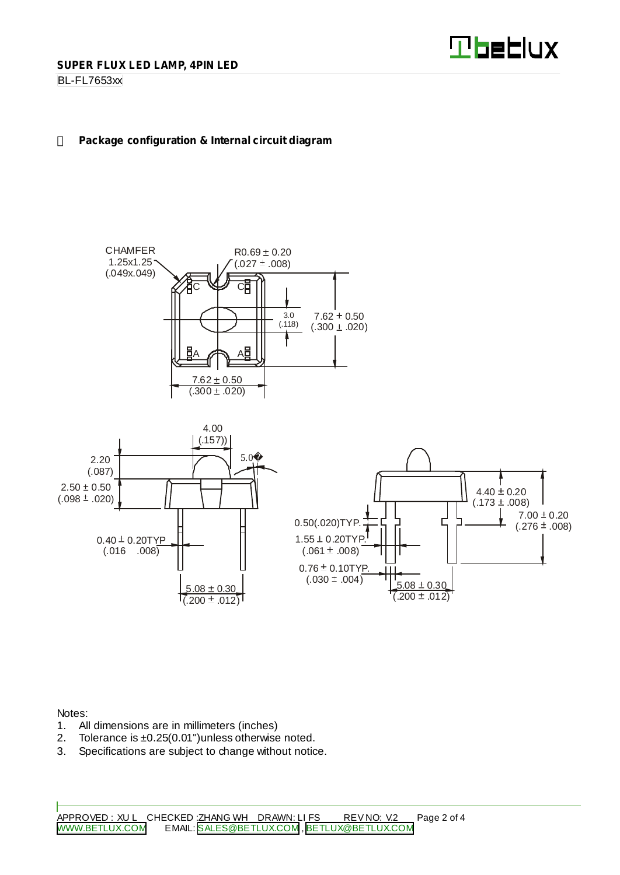

#### BL-FL7653xx

#### **Package configuration & Internal circuit diagram**



Notes:

- 1. All dimensions are in millimeters (inches)
- 2. Tolerance is ±0.25(0.01") unless otherwise noted.
- 3. Specifications are subject to change without notice.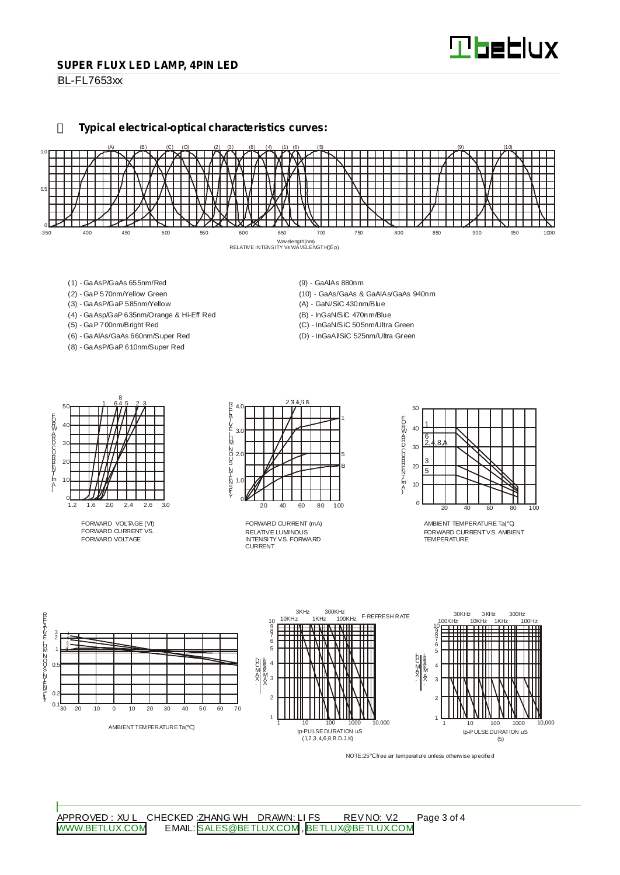#### **SUPER FLUX LED LAMP, 4PIN LED**

BL-FL7653xx

#### **Typical electrical-optical characteristics curves:**



- (1) GaAsP/GaAs 655nm/Red
- (2) GaP 570nm/Yellow Green
- (3) GaAsP/GaP 585nm/Yellow
- (4) GaAsp/GaP 635nm/Orange & Hi-Eff Red
- (5) GaP 700nm/Bright Red
- (6) GaAlAs/GaAs 660nm/Super Red
- (8) GaAsP/GaP 610nm/Super Red
- (9) GaAlAs 880nm
- (10) GaAs/GaAs & GaAlAs/GaAs 940nm
- (A) GaN/SiC 430nm/Blue
- (B) InGaN/SiC 470nm/Blue
- (C) InGaN/SiC 505nm/Ultra Green
- (D) InGaAl/SiC 525nm/Ultra Green



FORWARD VOLTAGE (Vf) FORWARD CURRENT VS. FORWARD VOLTAGE



RELATIVE LUMINOUS INTENSITY VS. FORWARD CURRENT FORWARD CURRENT (mA)



AMBIENT TEMPERATURE Ta( ) FORWARD CURRENTVS. AMBIENT TEMPER ATLIRE



NOTE:25 free air temperature unless otherwise specified